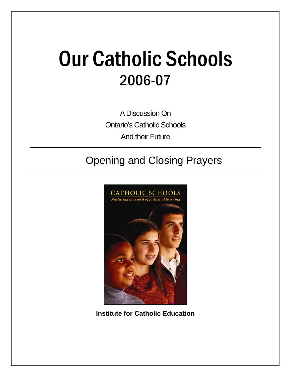# Our Catholic Schools 2006-07

A Discussion On Ontario's Catholic Schools And their Future

# Opening and Closing Prayers



**Institute for Catholic Education**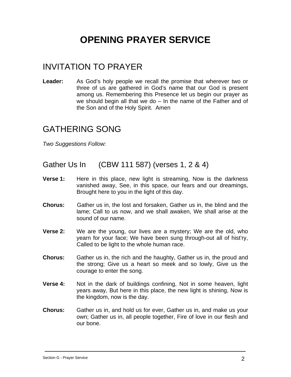# **OPENING PRAYER SERVICE**

## INVITATION TO PRAYER

**Leader:** As God's holy people we recall the promise that wherever two or three of us are gathered in God's name that our God is present among us. Remembering this Presence let us begin our prayer as we should begin all that we do – In the name of the Father and of the Son and of the Holy Spirit. Amen

#### GATHERING SONG

*Two Suggestions Follow:*

Gather Us In (CBW 111 587) (verses 1, 2 & 4)

- **Verse 1:** Here in this place, new light is streaming, Now is the darkness vanished away, See, in this space, our fears and our dreamings, Brought here to you in the light of this day.
- **Chorus:** Gather us in, the lost and forsaken, Gather us in, the blind and the lame; Call to us now, and we shall awaken, We shall arise at the sound of our name.
- **Verse 2:** We are the young, our lives are a mystery; We are the old, who yearn for your face; We have been sung through-out all of hist'ry, Called to be light to the whole human race.
- **Chorus:** Gather us in, the rich and the haughty, Gather us in, the proud and the strong; Give us a heart so meek and so lowly, Give us the courage to enter the song.
- **Verse 4:** Not in the dark of buildings confining, Not in some heaven, light years away, But here in this place, the new light is shining, Now is the kingdom, now is the day.
- **Chorus:** Gather us in, and hold us for ever, Gather us in, and make us your own; Gather us in, all people together, Fire of love in our flesh and our bone.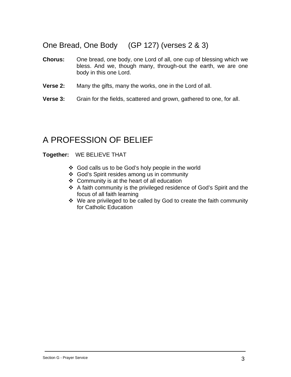#### One Bread, One Body (GP 127) (verses 2 & 3)

- **Chorus:** One bread, one body, one Lord of all, one cup of blessing which we bless. And we, though many, through-out the earth, we are one body in this one Lord.
- **Verse 2:** Many the gifts, many the works, one in the Lord of all.
- **Verse 3:** Grain for the fields, scattered and grown, gathered to one, for all.

### A PROFESSION OF BELIEF

#### **Together:** WE BELIEVE THAT

- God calls us to be God's holy people in the world
- God's Spirit resides among us in community
- Community is at the heart of all education
- A faith community is the privileged residence of God's Spirit and the focus of all faith learning
- We are privileged to be called by God to create the faith community for Catholic Education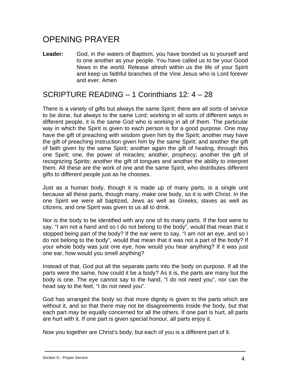## OPENING PRAYER

Leader: God, in the waters of Baptism, you have bonded us to yourself and to one another as your people. You have called us to be your Good News in the world. Release afresh within us the life of your Spirit and keep us faithful branches of the Vine Jesus who is Lord forever and ever. Amen

#### SCRIPTURE READING – 1 Corinthians 12: 4 – 28

There is a variety of gifts but always the same Spirit; there are all sorts of service to be done, but always to the same Lord; working in all sorts of different ways in different people, it is the same God who is working in all of them. The particular way in which the Spirit is given to each person is for a good purpose. One may have the gift of preaching with wisdom given him by the Spirit; another may have the gift of preaching instruction given him by the same Spirit; and another the gift of faith given by the same Spirit; another again the gift of healing, through this one Spirit; one, the power of miracles; another, prophecy; another the gift of recognizing Spirits; another the gift of tongues and another the ability to interpret them. All these are the work of one and the same Spirit, who distributes different gifts to different people just as he chooses.

Just as a human body, though it is made up of many parts, is a single unit because all these parts, though many, make one body, so it is with Christ. In the one Spirit we were all baptized, Jews as well as Greeks, slaves as well as citizens, and one Spirit was given to us all to drink.

Nor is the body to be identified with any one of its many parts. If the foot were to say, "I am not a hand and so I do not belong to the body", would that mean that it stopped being part of the body? If the ear were to say, "I am not an eye, and so I do not belong to the body", would that mean that it was not a part of the body? If your whole body was just one eye, how would you hear anything? If it was just one ear, how would you smell anything?

Instead of that, God put all the separate parts into the body on purpose. If all the parts were the same, how could it be a body? As it is, the parts are many but the body is one. The eye cannot say to the hand, "I do not need you", nor can the head say to the feet, "I do not need you".

God has arranged the body so that more dignity is given to the parts which are without it, and so that there may not be disagreements inside the body, but that each part may be equally concerned for all the others. If one part is hurt, all parts are hurt with it. If one part is given special honour, all parts enjoy it.

Now you together are Christ's body; but each of you is a different part of it.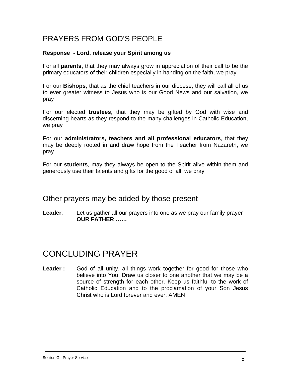#### PRAYERS FROM GOD'S PEOPLE

#### **Response - Lord, release your Spirit among us**

For all **parents,** that they may always grow in appreciation of their call to be the primary educators of their children especially in handing on the faith, we pray

For our **Bishops**, that as the chief teachers in our diocese, they will call all of us to ever greater witness to Jesus who is our Good News and our salvation, we pray

For our elected **trustees**, that they may be gifted by God with wise and discerning hearts as they respond to the many challenges in Catholic Education, we pray

For our **administrators, teachers and all professional educators**, that they may be deeply rooted in and draw hope from the Teacher from Nazareth, we pray

For our **students**, may they always be open to the Spirit alive within them and generously use their talents and gifts for the good of all, we pray

#### Other prayers may be added by those present

**Leader**: Let us gather all our prayers into one as we pray our family prayer **OUR FATHER ……** 

#### CONCLUDING PRAYER

**Leader :** God of all unity, all things work together for good for those who believe into You. Draw us closer to one another that we may be a source of strength for each other. Keep us faithful to the work of Catholic Education and to the proclamation of your Son Jesus Christ who is Lord forever and ever. AMEN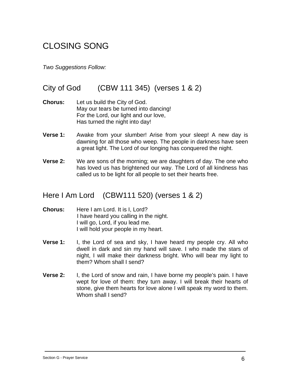## CLOSING SONG

*Two Suggestions Follow:*

#### City of God (CBW 111 345) (verses 1 & 2)

- **Chorus:** Let us build the City of God. May our tears be turned into dancing! For the Lord, our light and our love, Has turned the night into day!
- **Verse 1:** Awake from your slumber! Arise from your sleep! A new day is dawning for all those who weep. The people in darkness have seen a great light. The Lord of our longing has conquered the night.
- **Verse 2:** We are sons of the morning; we are daughters of day. The one who has loved us has brightened our way. The Lord of all kindness has called us to be light for all people to set their hearts free.

#### Here I Am Lord (CBW111 520) (verses 1 & 2)

- **Chorus:** Here I am Lord. It is I, Lord? I have heard you calling in the night. I will go, Lord, if you lead me. I will hold your people in my heart.
- **Verse 1:** I, the Lord of sea and sky, I have heard my people cry. All who dwell in dark and sin my hand will save. I who made the stars of night, I will make their darkness bright. Who will bear my light to them? Whom shall I send?
- **Verse 2:** I, the Lord of snow and rain, I have borne my people's pain. I have wept for love of them: they turn away. I will break their hearts of stone, give them hearts for love alone I will speak my word to them. Whom shall I send?